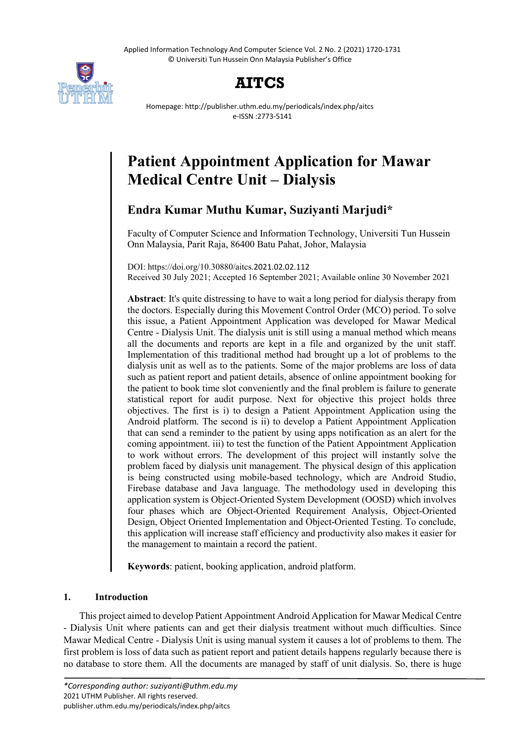Applied Information Technology And Computer Science Vol. 2 No. 2 (2021) 1720-1731 © Universiti Tun Hussein Onn Malaysia Publisher's Office



## **AITCS**

Homepage: http://publisher.uthm.edu.my/periodicals/index.php/aitcs e-ISSN :2773-5141

# **Patient Appointment Application for Mawar Medical Centre Unit – Dialysis**

## **Endra Kumar Muthu Kumar, Suziyanti Marjudi\***

Faculty of Computer Science and Information Technology, Universiti Tun Hussein Onn Malaysia, Parit Raja, 86400 Batu Pahat, Johor, Malaysia

DOI: https://doi.org/10.30880/aitcs.2021.02.02.112 Received 30 July 2021; Accepted 16 September 2021; Available online 30 November 2021

**Abstract**: It's quite distressing to have to wait a long period for dialysis therapy from the doctors. Especially during this Movement Control Order (MCO) period. To solve this issue, a Patient Appointment Application was developed for Mawar Medical Centre - Dialysis Unit. The dialysis unit is still using a manual method which means all the documents and reports are kept in a file and organized by the unit staff. Implementation of this traditional method had brought up a lot of problems to the dialysis unit as well as to the patients. Some of the major problems are loss of data such as patient report and patient details, absence of online appointment booking for the patient to book time slot conveniently and the final problem is failure to generate statistical report for audit purpose. Next for objective this project holds three objectives. The first is i) to design a Patient Appointment Application using the Android platform. The second is ii) to develop a Patient Appointment Application that can send a reminder to the patient by using apps notification as an alert for the coming appointment. iii) to test the function of the Patient Appointment Application to work without errors. The development of this project will instantly solve the problem faced by dialysis unit management. The physical design of this application is being constructed using mobile-based technology, which are Android Studio, Firebase database and Java language. The methodology used in developing this application system is Object-Oriented System Development (OOSD) which involves four phases which are Object-Oriented Requirement Analysis, Object-Oriented Design, Object Oriented Implementation and Object-Oriented Testing. To conclude, this application will increase staff efficiency and productivity also makes it easier for the management to maintain a record the patient.

**Keywords**: patient, booking application, android platform.

## **1. Introduction**

This project aimed to develop Patient Appointment Android Application for Mawar Medical Centre - Dialysis Unit where patients can and get their dialysis treatment without much difficulties. Since Mawar Medical Centre - Dialysis Unit is using manual system it causes a lot of problems to them. The first problem is loss of data such as patient report and patient details happens regularly because there is no database to store them. All the documents are managed by staff of unit dialysis. So, there is huge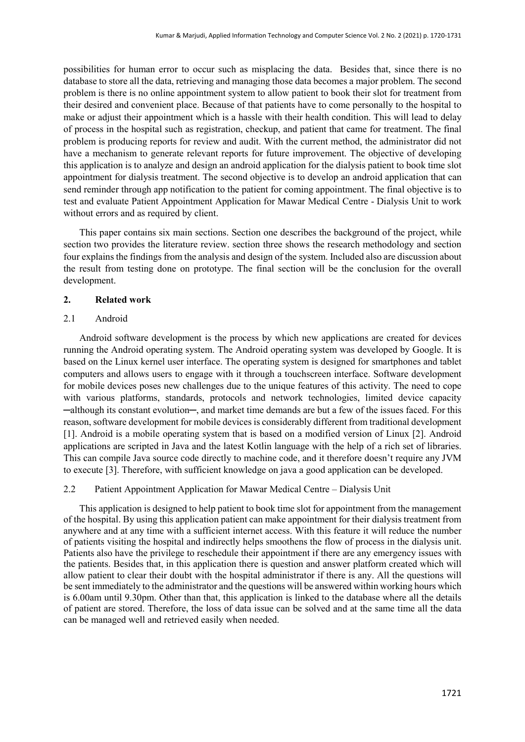possibilities for human error to occur such as misplacing the data. Besides that, since there is no database to store all the data, retrieving and managing those data becomes a major problem. The second problem is there is no online appointment system to allow patient to book their slot for treatment from their desired and convenient place. Because of that patients have to come personally to the hospital to make or adjust their appointment which is a hassle with their health condition. This will lead to delay of process in the hospital such as registration, checkup, and patient that came for treatment. The final problem is producing reports for review and audit. With the current method, the administrator did not have a mechanism to generate relevant reports for future improvement. The objective of developing this application is to analyze and design an android application for the dialysis patient to book time slot appointment for dialysis treatment. The second objective is to develop an android application that can send reminder through app notification to the patient for coming appointment. The final objective is to test and evaluate Patient Appointment Application for Mawar Medical Centre - Dialysis Unit to work without errors and as required by client.

This paper contains six main sections. Section one describes the background of the project, while section two provides the literature review. section three shows the research methodology and section four explains the findings from the analysis and design of the system. Included also are discussion about the result from testing done on prototype. The final section will be the conclusion for the overall development.

#### **2. Related work**

#### 2.1 Android

Android software development is the process by which new applications are created for devices running the Android operating system. The Android operating system was developed by Google. It is based on the Linux kernel user interface. The operating system is designed for smartphones and tablet computers and allows users to engage with it through a touchscreen interface. Software development for mobile devices poses new challenges due to the unique features of this activity. The need to cope with various platforms, standards, protocols and network technologies, limited device capacity ─although its constant evolution─, and market time demands are but a few of the issues faced. For this reason, software development for mobile devices is considerably different from traditional development [1]. Android is a mobile operating system that is based on a modified version of Linux [2]. Android applications are scripted in Java and the latest Kotlin language with the help of a rich set of libraries. This can compile Java source code directly to machine code, and it therefore doesn't require any JVM to execute [3]. Therefore, with sufficient knowledge on java a good application can be developed.

#### 2.2 Patient Appointment Application for Mawar Medical Centre – Dialysis Unit

This application is designed to help patient to book time slot for appointment from the management of the hospital. By using this application patient can make appointment for their dialysis treatment from anywhere and at any time with a sufficient internet access. With this feature it will reduce the number of patients visiting the hospital and indirectly helps smoothens the flow of process in the dialysis unit. Patients also have the privilege to reschedule their appointment if there are any emergency issues with the patients. Besides that, in this application there is question and answer platform created which will allow patient to clear their doubt with the hospital administrator if there is any. All the questions will be sent immediately to the administrator and the questions will be answered within working hours which is 6.00am until 9.30pm. Other than that, this application is linked to the database where all the details of patient are stored. Therefore, the loss of data issue can be solved and at the same time all the data can be managed well and retrieved easily when needed.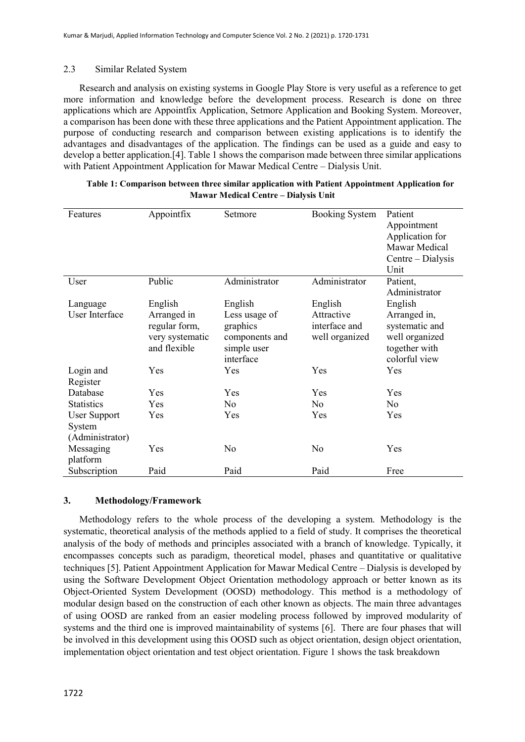#### 2.3 Similar Related System

Research and analysis on existing systems in Google Play Store is very useful as a reference to get more information and knowledge before the development process. Research is done on three applications which are Appointfix Application, Setmore Application and Booking System. Moreover, a comparison has been done with these three applications and the Patient Appointment application. The purpose of conducting research and comparison between existing applications is to identify the advantages and disadvantages of the application. The findings can be used as a guide and easy to develop a better application.[4]. Table 1 shows the comparison made between three similar applications with Patient Appointment Application for Mawar Medical Centre – Dialysis Unit.

| Features            | Appointfix      | Setmore        | <b>Booking System</b> | Patient           |
|---------------------|-----------------|----------------|-----------------------|-------------------|
|                     |                 |                |                       |                   |
|                     |                 |                |                       | Appointment       |
|                     |                 |                |                       | Application for   |
|                     |                 |                |                       | Mawar Medical     |
|                     |                 |                |                       | Centre – Dialysis |
|                     |                 |                |                       | Unit              |
| User                | Public          | Administrator  | Administrator         | Patient,          |
|                     |                 |                |                       | Administrator     |
| Language            | English         | English        | English               | English           |
| User Interface      | Arranged in     | Less usage of  | Attractive            | Arranged in,      |
|                     | regular form,   | graphics       | interface and         | systematic and    |
|                     | very systematic | components and | well organized        | well organized    |
|                     | and flexible    | simple user    |                       | together with     |
|                     |                 | interface      |                       | colorful view     |
| Login and           | Yes             | Yes            | Yes                   | Yes               |
| Register            |                 |                |                       |                   |
| Database            | Yes             | Yes            | Yes                   | Yes               |
| <b>Statistics</b>   | Yes             | N <sub>o</sub> | N <sub>o</sub>        | No                |
| <b>User Support</b> | Yes             | Yes            | Yes                   | Yes               |
| System              |                 |                |                       |                   |
| (Administrator)     |                 |                |                       |                   |
| Messaging           | Yes             | No             | N <sub>o</sub>        | Yes               |
| platform            |                 |                |                       |                   |
| Subscription        | Paid            | Paid           | Paid                  | Free              |

| Table 1: Comparison between three similar application with Patient Appointment Application for |
|------------------------------------------------------------------------------------------------|
| <b>Mawar Medical Centre – Dialysis Unit</b>                                                    |

#### **3. Methodology/Framework**

Methodology refers to the whole process of the developing a system. Methodology is the systematic, theoretical analysis of the methods applied to a field of study. It comprises the theoretical analysis of the body of methods and principles associated with a branch of knowledge. Typically, it encompasses concepts such as paradigm, theoretical model, phases and quantitative or qualitative techniques [5]. Patient Appointment Application for Mawar Medical Centre – Dialysis is developed by using the Software Development Object Orientation methodology approach or better known as its Object-Oriented System Development (OOSD) methodology. This method is a methodology of modular design based on the construction of each other known as objects. The main three advantages of using OOSD are ranked from an easier modeling process followed by improved modularity of systems and the third one is improved maintainability of systems [6]. There are four phases that will be involved in this development using this OOSD such as object orientation, design object orientation, implementation object orientation and test object orientation. Figure 1 shows the task breakdown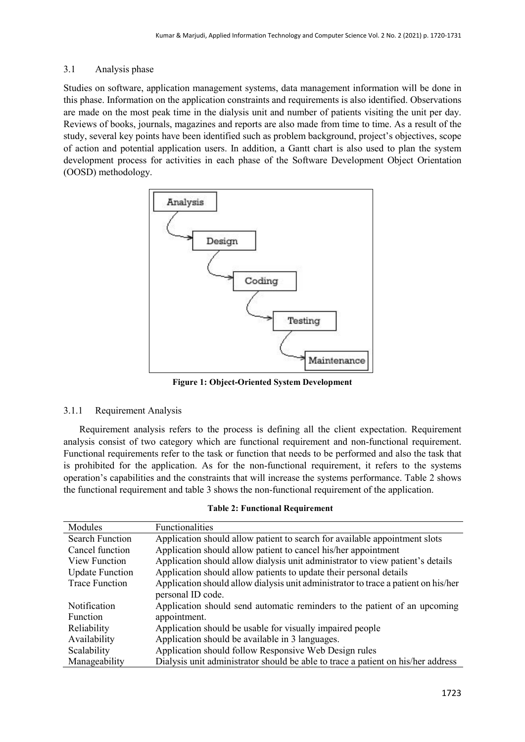## 3.1 Analysis phase

Studies on software, application management systems, data management information will be done in this phase. Information on the application constraints and requirements is also identified. Observations are made on the most peak time in the dialysis unit and number of patients visiting the unit per day. Reviews of books, journals, magazines and reports are also made from time to time. As a result of the study, several key points have been identified such as problem background, project's objectives, scope of action and potential application users. In addition, a Gantt chart is also used to plan the system development process for activities in each phase of the Software Development Object Orientation (OOSD) methodology.



**Figure 1: Object-Oriented System Development**

## 3.1.1 Requirement Analysis

Requirement analysis refers to the process is defining all the client expectation. Requirement analysis consist of two category which are functional requirement and non-functional requirement. Functional requirements refer to the task or function that needs to be performed and also the task that is prohibited for the application. As for the non-functional requirement, it refers to the systems operation's capabilities and the constraints that will increase the systems performance. Table 2 shows the functional requirement and table 3 shows the non-functional requirement of the application.

#### **Table 2: Functional Requirement**

| Modules                | Functionalities                                                                    |
|------------------------|------------------------------------------------------------------------------------|
| <b>Search Function</b> | Application should allow patient to search for available appointment slots         |
| Cancel function        | Application should allow patient to cancel his/her appointment                     |
| <b>View Function</b>   | Application should allow dialysis unit administrator to view patient's details     |
| <b>Update Function</b> | Application should allow patients to update their personal details                 |
| <b>Trace Function</b>  | Application should allow dialysis unit administrator to trace a patient on his/her |
|                        | personal ID code.                                                                  |
| Notification           | Application should send automatic reminders to the patient of an upcoming          |
| <b>Function</b>        | appointment.                                                                       |
| Reliability            | Application should be usable for visually impaired people                          |
| Availability           | Application should be available in 3 languages.                                    |
| Scalability            | Application should follow Responsive Web Design rules                              |
| Manageability          | Dialysis unit administrator should be able to trace a patient on his/her address   |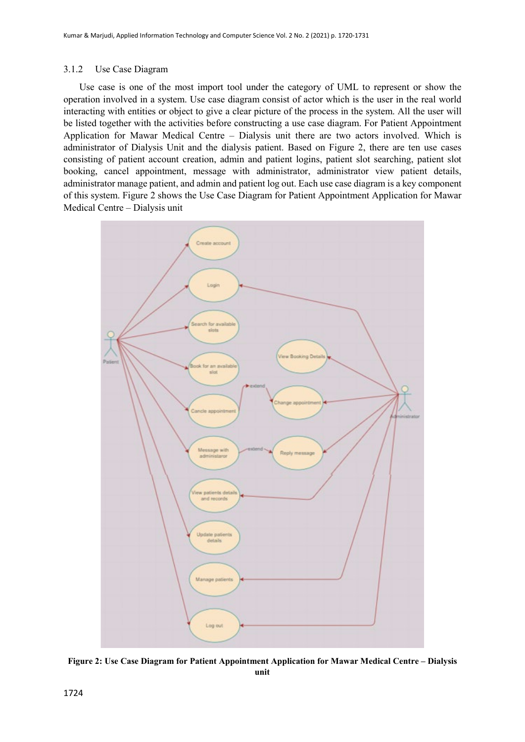#### 3.1.2 Use Case Diagram

Use case is one of the most import tool under the category of UML to represent or show the operation involved in a system. Use case diagram consist of actor which is the user in the real world interacting with entities or object to give a clear picture of the process in the system. All the user will be listed together with the activities before constructing a use case diagram. For Patient Appointment Application for Mawar Medical Centre – Dialysis unit there are two actors involved. Which is administrator of Dialysis Unit and the dialysis patient. Based on Figure 2, there are ten use cases consisting of patient account creation, admin and patient logins, patient slot searching, patient slot booking, cancel appointment, message with administrator, administrator view patient details, administrator manage patient, and admin and patient log out. Each use case diagram is a key component of this system. Figure 2 shows the Use Case Diagram for Patient Appointment Application for Mawar Medical Centre – Dialysis unit



**Figure 2: Use Case Diagram for Patient Appointment Application for Mawar Medical Centre – Dialysis unit**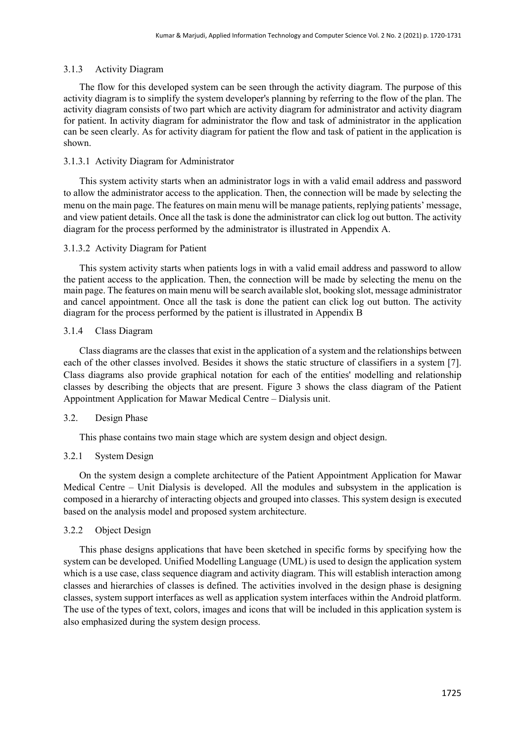#### 3.1.3 Activity Diagram

The flow for this developed system can be seen through the activity diagram. The purpose of this activity diagram is to simplify the system developer's planning by referring to the flow of the plan. The activity diagram consists of two part which are activity diagram for administrator and activity diagram for patient. In activity diagram for administrator the flow and task of administrator in the application can be seen clearly. As for activity diagram for patient the flow and task of patient in the application is shown.

#### 3.1.3.1 Activity Diagram for Administrator

This system activity starts when an administrator logs in with a valid email address and password to allow the administrator access to the application. Then, the connection will be made by selecting the menu on the main page. The features on main menu will be manage patients, replying patients' message, and view patient details. Once all the task is done the administrator can click log out button. The activity diagram for the process performed by the administrator is illustrated in Appendix A.

#### 3.1.3.2 Activity Diagram for Patient

This system activity starts when patients logs in with a valid email address and password to allow the patient access to the application. Then, the connection will be made by selecting the menu on the main page. The features on main menu will be search available slot, booking slot, message administrator and cancel appointment. Once all the task is done the patient can click log out button. The activity diagram for the process performed by the patient is illustrated in Appendix B

#### 3.1.4 Class Diagram

Class diagrams are the classes that exist in the application of a system and the relationships between each of the other classes involved. Besides it shows the static structure of classifiers in a system [7]. Class diagrams also provide graphical notation for each of the entities' modelling and relationship classes by describing the objects that are present. Figure 3 shows the class diagram of the Patient Appointment Application for Mawar Medical Centre – Dialysis unit.

#### 3.2. Design Phase

This phase contains two main stage which are system design and object design.

#### 3.2.1 System Design

On the system design a complete architecture of the Patient Appointment Application for Mawar Medical Centre – Unit Dialysis is developed. All the modules and subsystem in the application is composed in a hierarchy of interacting objects and grouped into classes. This system design is executed based on the analysis model and proposed system architecture.

#### 3.2.2 Object Design

This phase designs applications that have been sketched in specific forms by specifying how the system can be developed. Unified Modelling Language (UML) is used to design the application system which is a use case, class sequence diagram and activity diagram. This will establish interaction among classes and hierarchies of classes is defined. The activities involved in the design phase is designing classes, system support interfaces as well as application system interfaces within the Android platform. The use of the types of text, colors, images and icons that will be included in this application system is also emphasized during the system design process.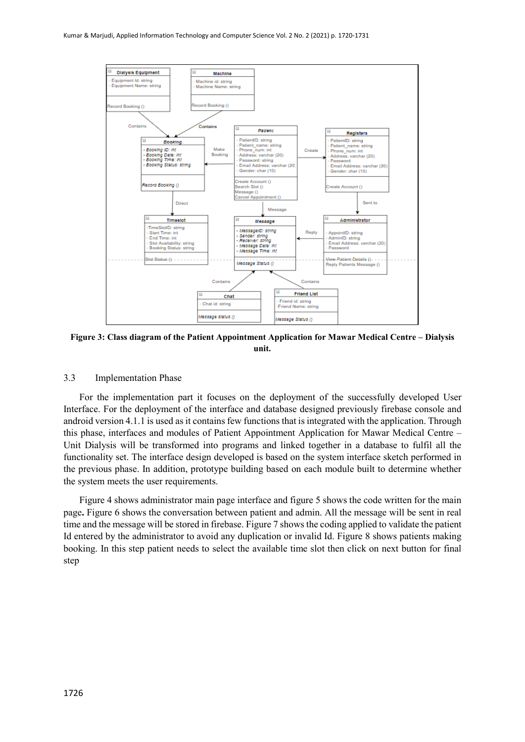

**Figure 3: Class diagram of the Patient Appointment Application for Mawar Medical Centre – Dialysis unit.**

#### 3.3 Implementation Phase

For the implementation part it focuses on the deployment of the successfully developed User Interface. For the deployment of the interface and database designed previously firebase console and android version 4.1.1 is used as it contains few functions that is integrated with the application. Through this phase, interfaces and modules of Patient Appointment Application for Mawar Medical Centre – Unit Dialysis will be transformed into programs and linked together in a database to fulfil all the functionality set. The interface design developed is based on the system interface sketch performed in the previous phase. In addition, prototype building based on each module built to determine whether the system meets the user requirements.

Figure 4 shows administrator main page interface and figure 5 shows the code written for the main page**.** Figure 6 shows the conversation between patient and admin. All the message will be sent in real time and the message will be stored in firebase. Figure 7 shows the coding applied to validate the patient Id entered by the administrator to avoid any duplication or invalid Id. Figure 8 shows patients making booking. In this step patient needs to select the available time slot then click on next button for final step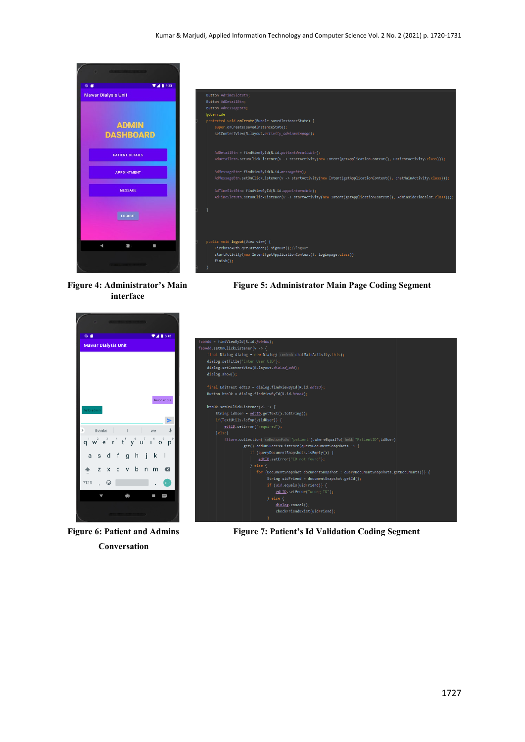



**interface**

Figure 4: Administrator's Main Figure 5: Administrator Main Page Coding Segment



 **Conversation**



**Figure 6: Patient and Admins Figure 7: Patient's Id Validation Coding Segment**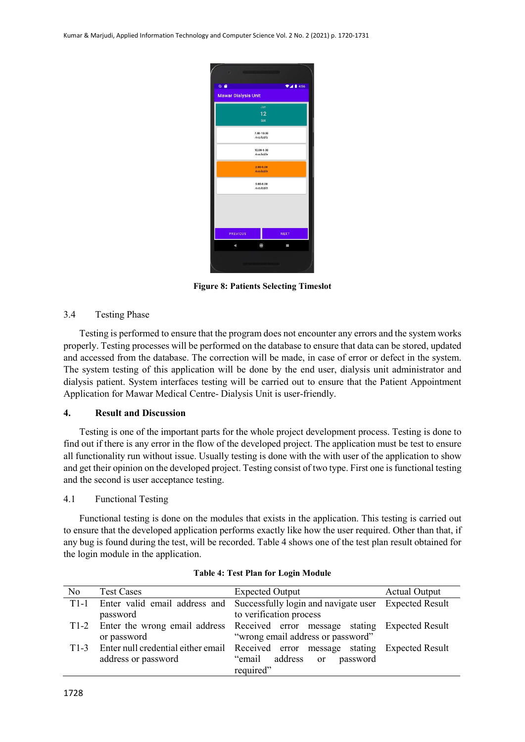

**Figure 8: Patients Selecting Timeslot**

#### 3.4 Testing Phase

Testing is performed to ensure that the program does not encounter any errors and the system works properly. Testing processes will be performed on the database to ensure that data can be stored, updated and accessed from the database. The correction will be made, in case of error or defect in the system. The system testing of this application will be done by the end user, dialysis unit administrator and dialysis patient. System interfaces testing will be carried out to ensure that the Patient Appointment Application for Mawar Medical Centre- Dialysis Unit is user-friendly.

#### **4. Result and Discussion**

Testing is one of the important parts for the whole project development process. Testing is done to find out if there is any error in the flow of the developed project. The application must be test to ensure all functionality run without issue. Usually testing is done with the with user of the application to show and get their opinion on the developed project. Testing consist of two type. First one is functional testing and the second is user acceptance testing.

### 4.1 Functional Testing

Functional testing is done on the modules that exists in the application. This testing is carried out to ensure that the developed application performs exactly like how the user required. Other than that, if any bug is found during the test, will be recorded. Table 4 shows one of the test plan result obtained for the login module in the application.

| No     | <b>Test Cases</b>   | Expected Output                                                                        | <b>Actual Output</b> |
|--------|---------------------|----------------------------------------------------------------------------------------|----------------------|
| $T1-1$ |                     | Enter valid email address and Successfully login and navigate user Expected Result     |                      |
|        | password            | to verification process                                                                |                      |
|        |                     | T1-2 Enter the wrong email address Received error message stating Expected Result      |                      |
|        | or password         | "wrong email address or password"                                                      |                      |
|        |                     | T1-3 Enter null credential either email Received error message stating Expected Result |                      |
|        | address or password | "email address or password                                                             |                      |
|        |                     | required"                                                                              |                      |

**Table 4: Test Plan for Login Module**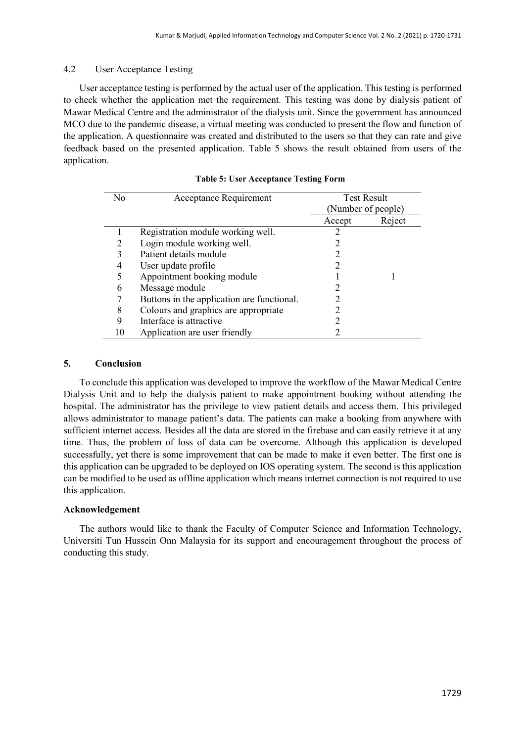#### 4.2 User Acceptance Testing

User acceptance testing is performed by the actual user of the application. This testing is performed to check whether the application met the requirement. This testing was done by dialysis patient of Mawar Medical Centre and the administrator of the dialysis unit. Since the government has announced MCO due to the pandemic disease, a virtual meeting was conducted to present the flow and function of the application. A questionnaire was created and distributed to the users so that they can rate and give feedback based on the presented application. Table 5 shows the result obtained from users of the application.

| N <sub>0</sub> | Acceptance Requirement                     | <b>Test Result</b> |        |
|----------------|--------------------------------------------|--------------------|--------|
|                |                                            | (Number of people) |        |
|                |                                            | Accept             | Reject |
|                | Registration module working well.          | 7                  |        |
|                | Login module working well.                 |                    |        |
| 3              | Patient details module                     |                    |        |
|                | User update profile                        |                    |        |
|                | Appointment booking module                 |                    |        |
| 6              | Message module                             | 7                  |        |
|                | Buttons in the application are functional. |                    |        |
| 8              | Colours and graphics are appropriate       |                    |        |
| 9              | Interface is attractive                    |                    |        |
|                | Application are user friendly              |                    |        |

|  |  | <b>Table 5: User Acceptance Testing Form</b> |  |  |
|--|--|----------------------------------------------|--|--|
|--|--|----------------------------------------------|--|--|

#### **5. Conclusion**

To conclude this application was developed to improve the workflow of the Mawar Medical Centre Dialysis Unit and to help the dialysis patient to make appointment booking without attending the hospital. The administrator has the privilege to view patient details and access them. This privileged allows administrator to manage patient's data. The patients can make a booking from anywhere with sufficient internet access. Besides all the data are stored in the firebase and can easily retrieve it at any time. Thus, the problem of loss of data can be overcome. Although this application is developed successfully, yet there is some improvement that can be made to make it even better. The first one is this application can be upgraded to be deployed on IOS operating system. The second is this application can be modified to be used as offline application which means internet connection is not required to use this application.

#### **Acknowledgement**

The authors would like to thank the Faculty of Computer Science and Information Technology, Universiti Tun Hussein Onn Malaysia for its support and encouragement throughout the process of conducting this study.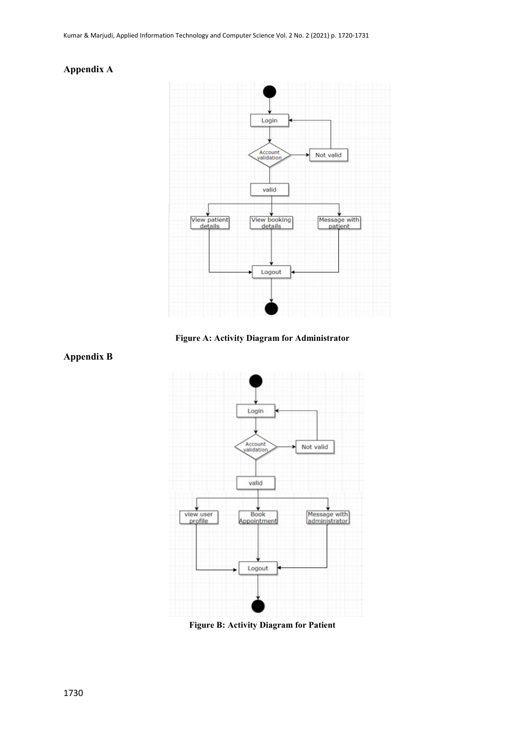### **Appendix A**



**Figure A: Activity Diagram for Administrator**



**Figure B: Activity Diagram for Patient**

## **Appendix B**